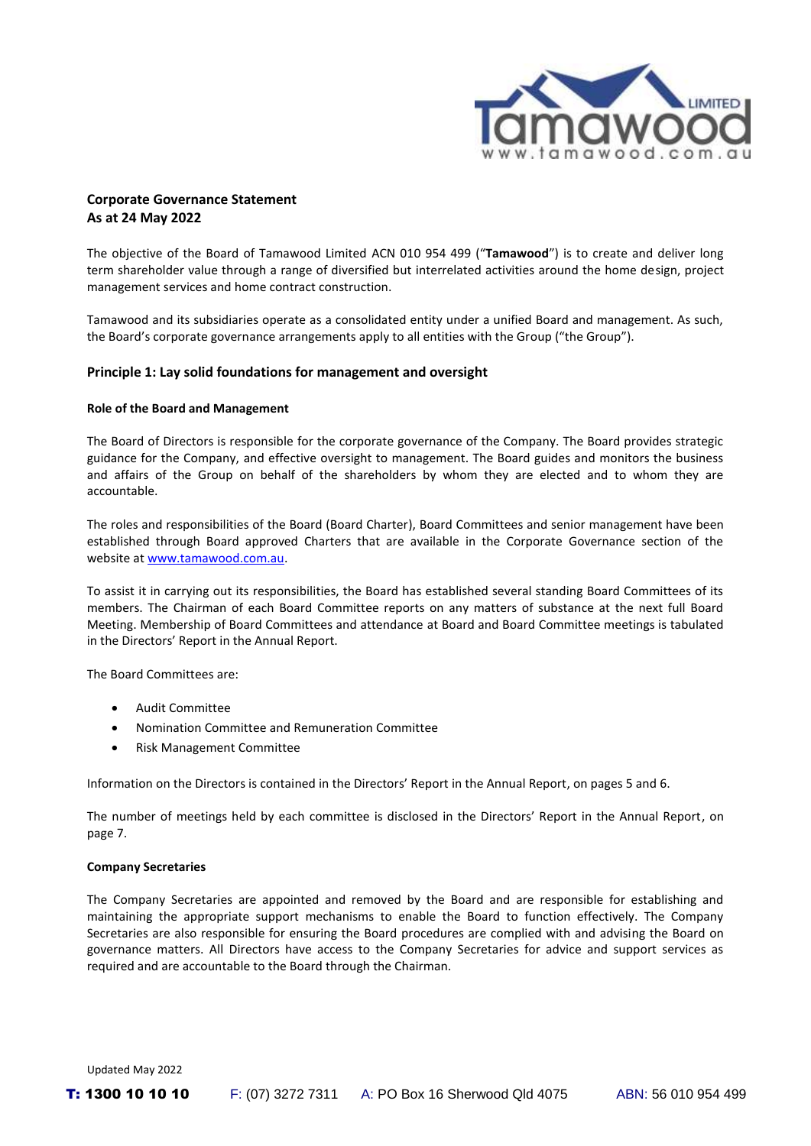

# **Corporate Governance Statement As at 24 May 2022**

The objective of the Board of Tamawood Limited ACN 010 954 499 ("**Tamawood**") is to create and deliver long term shareholder value through a range of diversified but interrelated activities around the home design, project management services and home contract construction.

Tamawood and its subsidiaries operate as a consolidated entity under a unified Board and management. As such, the Board's corporate governance arrangements apply to all entities with the Group ("the Group").

## **Principle 1: Lay solid foundations for management and oversight**

### **Role of the Board and Management**

The Board of Directors is responsible for the corporate governance of the Company. The Board provides strategic guidance for the Company, and effective oversight to management. The Board guides and monitors the business and affairs of the Group on behalf of the shareholders by whom they are elected and to whom they are accountable.

The roles and responsibilities of the Board (Board Charter), Board Committees and senior management have been established through Board approved Charters that are available in the Corporate Governance section of the website a[t www.tamawood.com.au.](http://www.tamawood.com.au/)

To assist it in carrying out its responsibilities, the Board has established several standing Board Committees of its members. The Chairman of each Board Committee reports on any matters of substance at the next full Board Meeting. Membership of Board Committees and attendance at Board and Board Committee meetings is tabulated in the Directors' Report in the Annual Report.

The Board Committees are:

- Audit Committee
- Nomination Committee and Remuneration Committee
- Risk Management Committee

Information on the Directors is contained in the Directors' Report in the Annual Report, on pages 5 and 6.

The number of meetings held by each committee is disclosed in the Directors' Report in the Annual Report, on page 7.

## **Company Secretaries**

The Company Secretaries are appointed and removed by the Board and are responsible for establishing and maintaining the appropriate support mechanisms to enable the Board to function effectively. The Company Secretaries are also responsible for ensuring the Board procedures are complied with and advising the Board on governance matters. All Directors have access to the Company Secretaries for advice and support services as required and are accountable to the Board through the Chairman.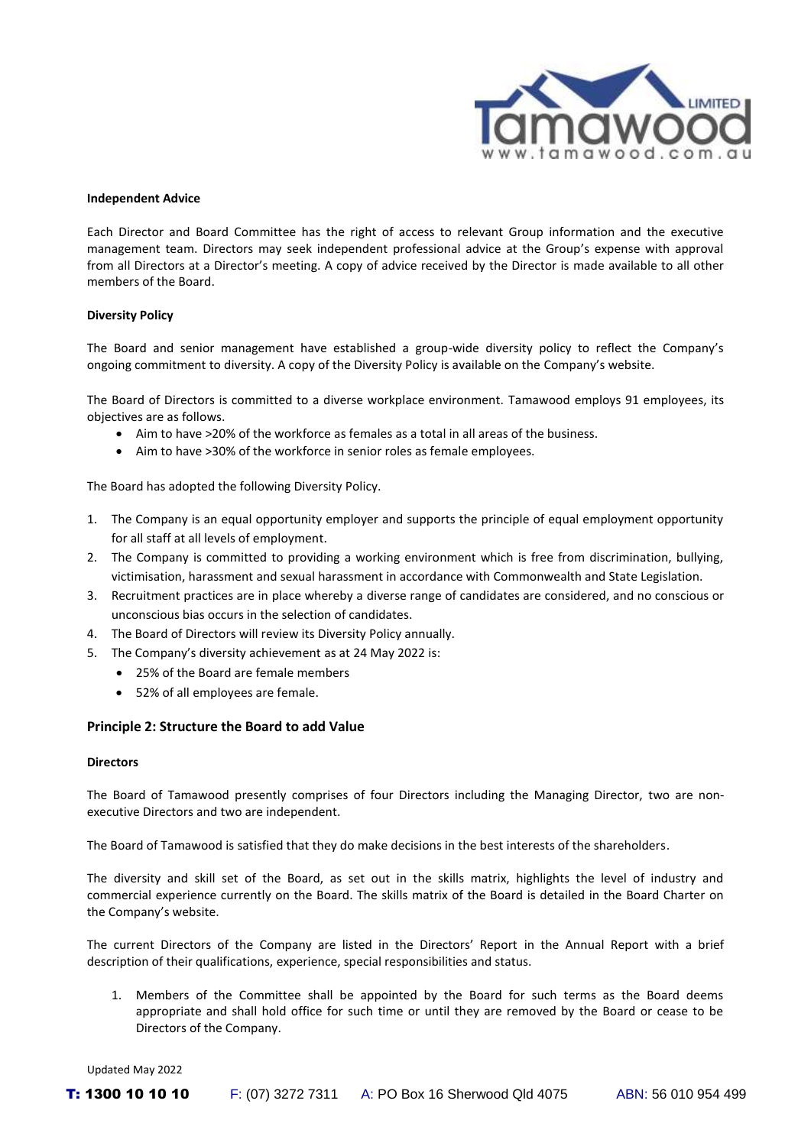

#### **Independent Advice**

Each Director and Board Committee has the right of access to relevant Group information and the executive management team. Directors may seek independent professional advice at the Group's expense with approval from all Directors at a Director's meeting. A copy of advice received by the Director is made available to all other members of the Board.

#### **Diversity Policy**

The Board and senior management have established a group-wide diversity policy to reflect the Company's ongoing commitment to diversity. A copy of the Diversity Policy is available on the Company's website.

The Board of Directors is committed to a diverse workplace environment. Tamawood employs 91 employees, its objectives are as follows.

- Aim to have >20% of the workforce as females as a total in all areas of the business.
- Aim to have >30% of the workforce in senior roles as female employees.

The Board has adopted the following Diversity Policy.

- 1. The Company is an equal opportunity employer and supports the principle of equal employment opportunity for all staff at all levels of employment.
- 2. The Company is committed to providing a working environment which is free from discrimination, bullying, victimisation, harassment and sexual harassment in accordance with Commonwealth and State Legislation.
- 3. Recruitment practices are in place whereby a diverse range of candidates are considered, and no conscious or unconscious bias occurs in the selection of candidates.
- 4. The Board of Directors will review its Diversity Policy annually.
- 5. The Company's diversity achievement as at 24 May 2022 is:
	- 25% of the Board are female members
	- 52% of all employees are female.

## **Principle 2: Structure the Board to add Value**

#### **Directors**

The Board of Tamawood presently comprises of four Directors including the Managing Director, two are nonexecutive Directors and two are independent.

The Board of Tamawood is satisfied that they do make decisions in the best interests of the shareholders.

The diversity and skill set of the Board, as set out in the skills matrix, highlights the level of industry and commercial experience currently on the Board. The skills matrix of the Board is detailed in the Board Charter on the Company's website.

The current Directors of the Company are listed in the Directors' Report in the Annual Report with a brief description of their qualifications, experience, special responsibilities and status.

1. Members of the Committee shall be appointed by the Board for such terms as the Board deems appropriate and shall hold office for such time or until they are removed by the Board or cease to be Directors of the Company.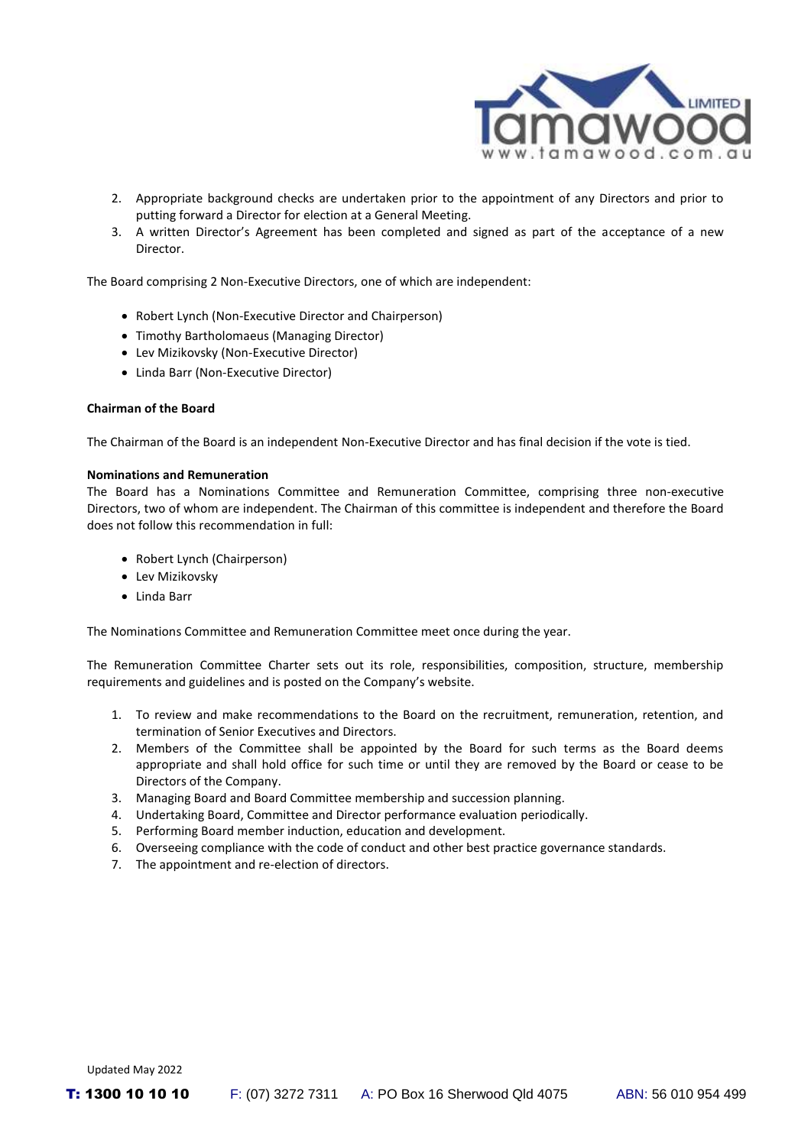

- 2. Appropriate background checks are undertaken prior to the appointment of any Directors and prior to putting forward a Director for election at a General Meeting.
- 3. A written Director's Agreement has been completed and signed as part of the acceptance of a new **Director**

The Board comprising 2 Non-Executive Directors, one of which are independent:

- Robert Lynch (Non-Executive Director and Chairperson)
- Timothy Bartholomaeus (Managing Director)
- Lev Mizikovsky (Non-Executive Director)
- Linda Barr (Non-Executive Director)

#### **Chairman of the Board**

The Chairman of the Board is an independent Non-Executive Director and has final decision if the vote is tied.

### **Nominations and Remuneration**

The Board has a Nominations Committee and Remuneration Committee, comprising three non-executive Directors, two of whom are independent. The Chairman of this committee is independent and therefore the Board does not follow this recommendation in full:

- Robert Lynch (Chairperson)
- Lev Mizikovsky
- Linda Barr

The Nominations Committee and Remuneration Committee meet once during the year.

The Remuneration Committee Charter sets out its role, responsibilities, composition, structure, membership requirements and guidelines and is posted on the Company's website.

- 1. To review and make recommendations to the Board on the recruitment, remuneration, retention, and termination of Senior Executives and Directors.
- 2. Members of the Committee shall be appointed by the Board for such terms as the Board deems appropriate and shall hold office for such time or until they are removed by the Board or cease to be Directors of the Company.
- 3. Managing Board and Board Committee membership and succession planning.
- 4. Undertaking Board, Committee and Director performance evaluation periodically.
- 5. Performing Board member induction, education and development.
- 6. Overseeing compliance with the code of conduct and other best practice governance standards.
- 7. The appointment and re-election of directors.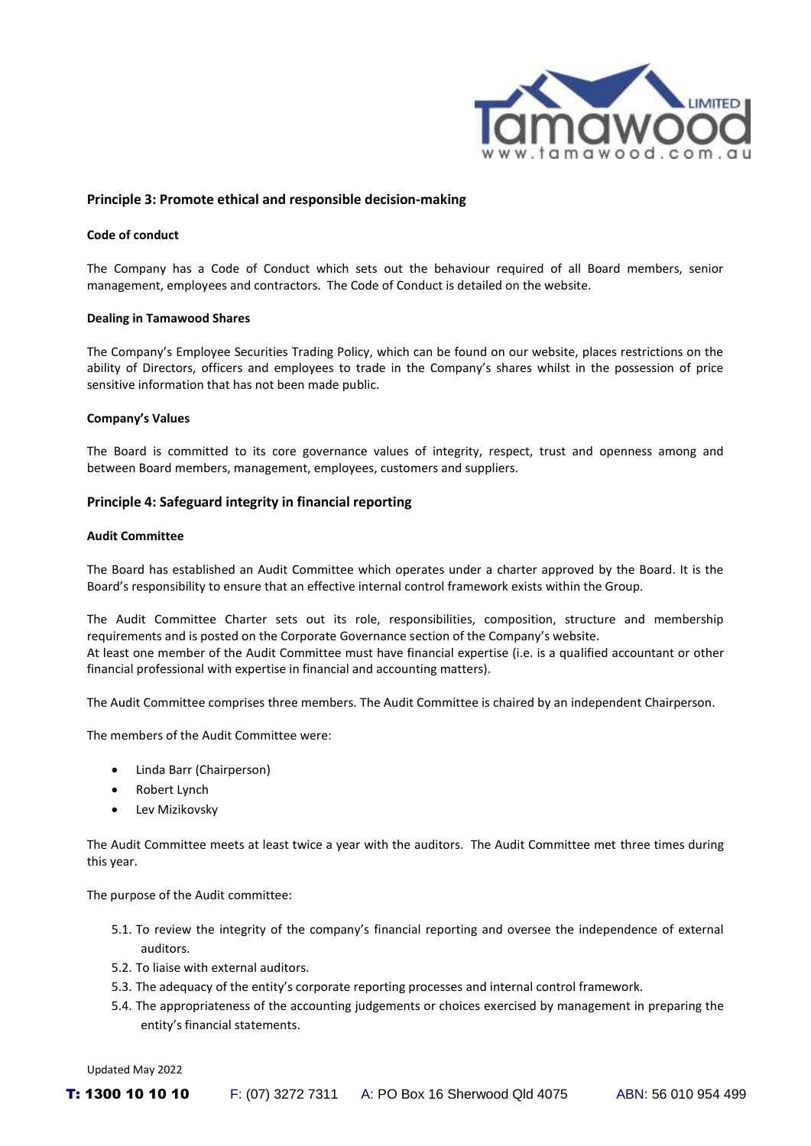

## **Principle 3: Promote ethical and responsible decision-making**

### **Code of conduct**

The Company has a Code of Conduct which sets out the behaviour required of all Board members, senior management, employees and contractors. The Code of Conduct is detailed on the website.

#### **Dealing in Tamawood Shares**

The Company's Employee Securities Trading Policy, which can be found on our website, places restrictions on the ability of Directors, officers and employees to trade in the Company's shares whilst in the possession of price sensitive information that has not been made public.

### **Company's Values**

The Board is committed to its core governance values of integrity, respect, trust and openness among and between Board members, management, employees, customers and suppliers.

## **Principle 4: Safeguard integrity in financial reporting**

### **Audit Committee**

The Board has established an Audit Committee which operates under a charter approved by the Board. It is the Board's responsibility to ensure that an effective internal control framework exists within the Group.

The Audit Committee Charter sets out its role, responsibilities, composition, structure and membership requirements and is posted on the Corporate Governance section of the Company's website. At least one member of the Audit Committee must have financial expertise (i.e. is a qualified accountant or other financial professional with expertise in financial and accounting matters).

The Audit Committee comprises three members. The Audit Committee is chaired by an independent Chairperson.

The members of the Audit Committee were:

- Linda Barr (Chairperson)
- Robert Lynch
- Lev Mizikovsky

The Audit Committee meets at least twice a year with the auditors. The Audit Committee met three times during this year.

The purpose of the Audit committee:

- 5.1. To review the integrity of the company's financial reporting and oversee the independence of external auditors.
- 5.2. To liaise with external auditors.
- 5.3. The adequacy of the entity's corporate reporting processes and internal control framework.
- 5.4. The appropriateness of the accounting judgements or choices exercised by management in preparing the entity's financial statements.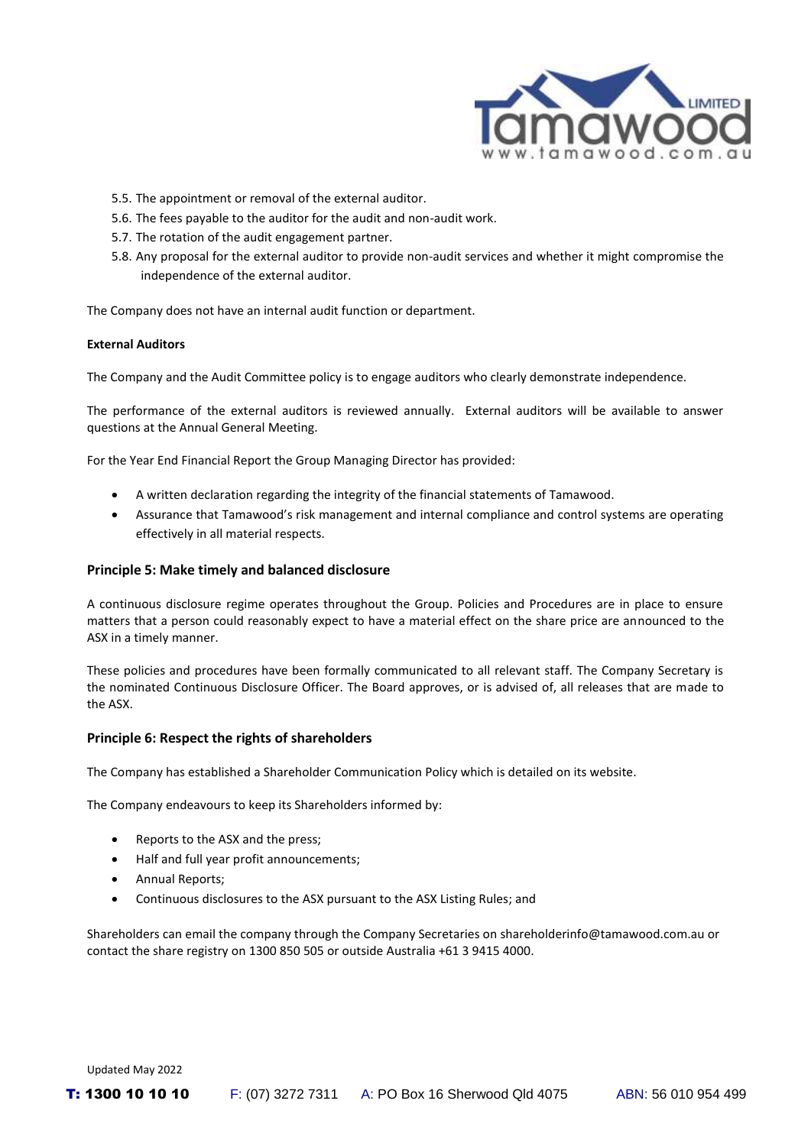

- 5.5. The appointment or removal of the external auditor.
- 5.6. The fees payable to the auditor for the audit and non-audit work.
- 5.7. The rotation of the audit engagement partner.
- 5.8. Any proposal for the external auditor to provide non-audit services and whether it might compromise the independence of the external auditor.

The Company does not have an internal audit function or department.

## **External Auditors**

The Company and the Audit Committee policy is to engage auditors who clearly demonstrate independence.

The performance of the external auditors is reviewed annually. External auditors will be available to answer questions at the Annual General Meeting.

For the Year End Financial Report the Group Managing Director has provided:

- A written declaration regarding the integrity of the financial statements of Tamawood.
- Assurance that Tamawood's risk management and internal compliance and control systems are operating effectively in all material respects.

## **Principle 5: Make timely and balanced disclosure**

A continuous disclosure regime operates throughout the Group. Policies and Procedures are in place to ensure matters that a person could reasonably expect to have a material effect on the share price are announced to the ASX in a timely manner.

These policies and procedures have been formally communicated to all relevant staff. The Company Secretary is the nominated Continuous Disclosure Officer. The Board approves, or is advised of, all releases that are made to the ASX.

## **Principle 6: Respect the rights of shareholders**

The Company has established a Shareholder Communication Policy which is detailed on its website.

The Company endeavours to keep its Shareholders informed by:

- Reports to the ASX and the press;
- Half and full year profit announcements;
- Annual Reports;
- Continuous disclosures to the ASX pursuant to the ASX Listing Rules; and

Shareholders can email the company through the Company Secretaries on shareholderinfo@tamawood.com.au or contact the share registry on 1300 850 505 or outside Australia +61 3 9415 4000.